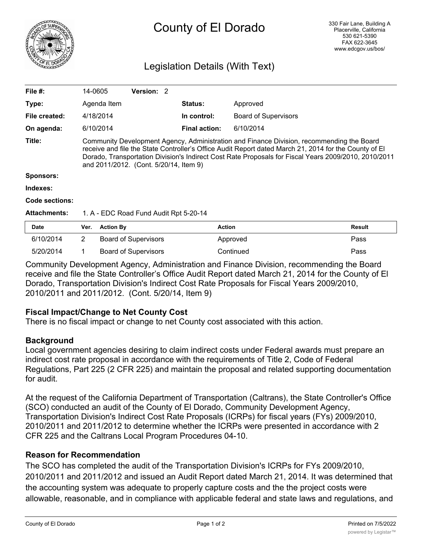

# County of El Dorado

## Legislation Details (With Text)

| <b>Date</b>         | <b>Action By</b><br>Ver.                                                                                                                                                                                                                                                                                                                             |            |  | <b>Action</b>        |                             | <b>Result</b> |  |
|---------------------|------------------------------------------------------------------------------------------------------------------------------------------------------------------------------------------------------------------------------------------------------------------------------------------------------------------------------------------------------|------------|--|----------------------|-----------------------------|---------------|--|
| <b>Attachments:</b> | 1. A - EDC Road Fund Audit Rpt 5-20-14                                                                                                                                                                                                                                                                                                               |            |  |                      |                             |               |  |
| Code sections:      |                                                                                                                                                                                                                                                                                                                                                      |            |  |                      |                             |               |  |
| Indexes:            |                                                                                                                                                                                                                                                                                                                                                      |            |  |                      |                             |               |  |
| <b>Sponsors:</b>    |                                                                                                                                                                                                                                                                                                                                                      |            |  |                      |                             |               |  |
| Title:              | Community Development Agency, Administration and Finance Division, recommending the Board<br>receive and file the State Controller's Office Audit Report dated March 21, 2014 for the County of El<br>Dorado, Transportation Division's Indirect Cost Rate Proposals for Fiscal Years 2009/2010, 2010/2011<br>and 2011/2012. (Cont. 5/20/14, Item 9) |            |  |                      |                             |               |  |
| On agenda:          | 6/10/2014                                                                                                                                                                                                                                                                                                                                            |            |  | <b>Final action:</b> | 6/10/2014                   |               |  |
| File created:       | 4/18/2014                                                                                                                                                                                                                                                                                                                                            |            |  | In control:          | <b>Board of Supervisors</b> |               |  |
| Type:               | Agenda Item                                                                                                                                                                                                                                                                                                                                          |            |  | <b>Status:</b>       | Approved                    |               |  |
| File #:             | 14-0605                                                                                                                                                                                                                                                                                                                                              | Version: 2 |  |                      |                             |               |  |
|                     |                                                                                                                                                                                                                                                                                                                                                      |            |  |                      |                             |               |  |

| <b>Date</b> | Ver. | <b>Action By</b>     | Action    | Result |
|-------------|------|----------------------|-----------|--------|
| 6/10/2014   |      | Board of Supervisors | Approved  | Pass   |
| 5/20/2014   |      | Board of Supervisors | Continued | Pass   |

Community Development Agency, Administration and Finance Division, recommending the Board receive and file the State Controller's Office Audit Report dated March 21, 2014 for the County of El Dorado, Transportation Division's Indirect Cost Rate Proposals for Fiscal Years 2009/2010, 2010/2011 and 2011/2012. (Cont. 5/20/14, Item 9)

### **Fiscal Impact/Change to Net County Cost**

There is no fiscal impact or change to net County cost associated with this action.

#### **Background**

Local government agencies desiring to claim indirect costs under Federal awards must prepare an indirect cost rate proposal in accordance with the requirements of Title 2, Code of Federal Regulations, Part 225 (2 CFR 225) and maintain the proposal and related supporting documentation for audit.

At the request of the California Department of Transportation (Caltrans), the State Controller's Office (SCO) conducted an audit of the County of El Dorado, Community Development Agency, Transportation Division's Indirect Cost Rate Proposals (ICRPs) for fiscal years (FYs) 2009/2010, 2010/2011 and 2011/2012 to determine whether the ICRPs were presented in accordance with 2 CFR 225 and the Caltrans Local Program Procedures 04-10.

#### **Reason for Recommendation**

The SCO has completed the audit of the Transportation Division's ICRPs for FYs 2009/2010, 2010/2011 and 2011/2012 and issued an Audit Report dated March 21, 2014. It was determined that the accounting system was adequate to properly capture costs and the the project costs were allowable, reasonable, and in compliance with applicable federal and state laws and regulations, and